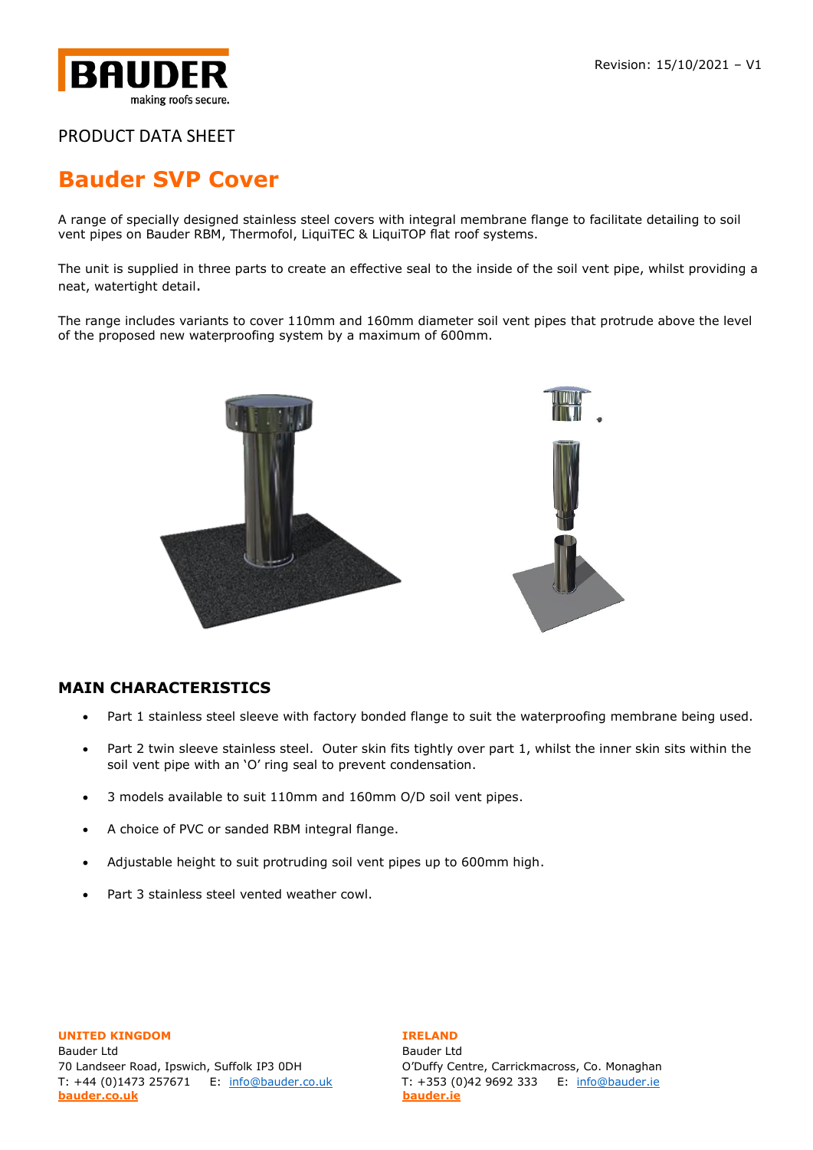

# **[Bauder SVP Cover](https://www.bauder.co.uk/technical-centre/products/accessories)**

A range of specially designed stainless steel covers with integral membrane flange to facilitate detailing to soil vent pipes on Bauder RBM, Thermofol, LiquiTEC & LiquiTOP flat roof systems.

The unit is supplied in three parts to create an effective seal to the inside of the soil vent pipe, whilst providing a neat, watertight detail.

The range includes variants to cover 110mm and 160mm diameter soil vent pipes that protrude above the level of the proposed new waterproofing system by a maximum of 600mm.



## **MAIN CHARACTERISTICS**

- Part 1 stainless steel sleeve with factory bonded flange to suit the waterproofing membrane being used.
- Part 2 twin sleeve stainless steel. Outer skin fits tightly over part 1, whilst the inner skin sits within the soil vent pipe with an 'O' ring seal to prevent condensation.
- 3 models available to suit 110mm and 160mm O/D soil vent pipes.
- A choice of PVC or sanded RBM integral flange.
- Adjustable height to suit protruding soil vent pipes up to 600mm high.
- Part 3 stainless steel vented weather cowl.

# **UNITED KINGDOM IRELAND** Bauder Ltd Bauder Ltd **[bauder.co.uk](http://www.bauder.co.uk/) [bauder.ie](http://www.bauder.ie/)**

70 Landseer Road, Ipswich, Suffolk IP3 0DH O'Duffy Centre, Carrickmacross, Co. Monaghan T: +44 (0)1473 257671 E: [info@bauder.co.uk](mailto:info@bauder.co.uk) T: +353 (0)42 9692 333 E: [info@bauder.ie](mailto:info@bauder.ie)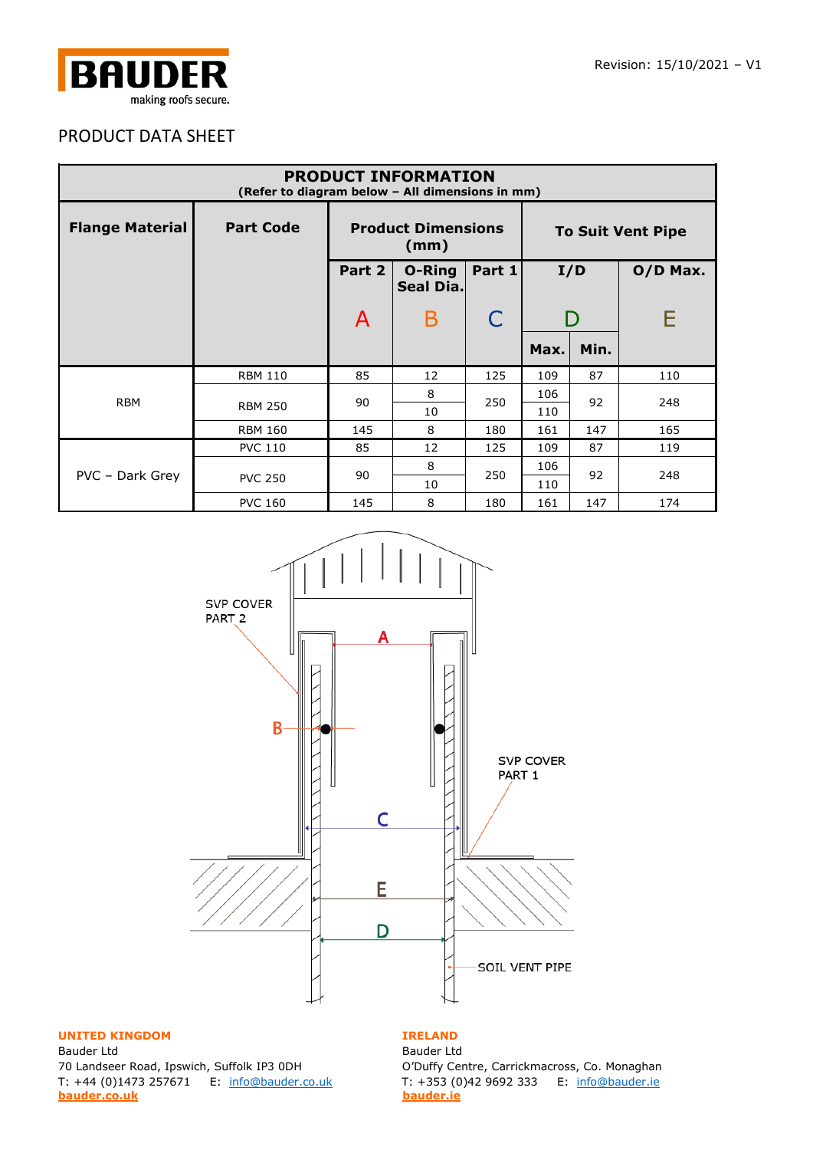

| <b>PRODUCT INFORMATION</b><br>(Refer to diagram below - All dimensions in mm) |                  |        |                                   |              |      |                          |            |
|-------------------------------------------------------------------------------|------------------|--------|-----------------------------------|--------------|------|--------------------------|------------|
| <b>Flange Material</b>                                                        | <b>Part Code</b> |        | <b>Product Dimensions</b><br>(mm) |              |      | <b>To Suit Vent Pipe</b> |            |
|                                                                               |                  | Part 2 | <b>O-Ring</b><br>Seal Dia.        | Part 1       | I/D  |                          | $O/D$ Max. |
|                                                                               |                  | A      | B                                 | $\mathsf{C}$ |      |                          | Е          |
|                                                                               |                  |        |                                   |              | Max. | Min.                     |            |
| <b>RBM</b>                                                                    | <b>RBM 110</b>   | 85     | 12                                | 125          | 109  | 87                       | 110        |
|                                                                               | <b>RBM 250</b>   | 90     | 8                                 | 250          | 106  | 92                       | 248        |
|                                                                               |                  |        | 10                                |              | 110  |                          |            |
|                                                                               | <b>RBM 160</b>   | 145    | 8                                 | 180          | 161  | 147                      | 165        |
| PVC - Dark Grey                                                               | <b>PVC 110</b>   | 85     | 12                                | 125          | 109  | 87                       | 119        |
|                                                                               | <b>PVC 250</b>   | 90     | 8                                 | 250          | 106  | 92                       | 248        |
|                                                                               |                  |        | 10                                |              | 110  |                          |            |
|                                                                               | <b>PVC 160</b>   | 145    | 8                                 | 180          | 161  | 147                      | 174        |



### **UNITED KINGDOM IRELAND**

Bauder Ltd **Bauder Ltd** 70 Landseer Road, Ipswich, Suffolk IP3 0DH O'Duffy Centre, Carrickmacross, Co. Monaghan T: +44 (0)1473 257671 E: [info@bauder.co.uk](mailto:info@bauder.co.uk) T: +353 (0)42 9692 333 E: [info@bauder.ie](mailto:info@bauder.ie) **[bauder.co.uk](http://www.bauder.co.uk/) [bauder.ie](http://www.bauder.ie/)**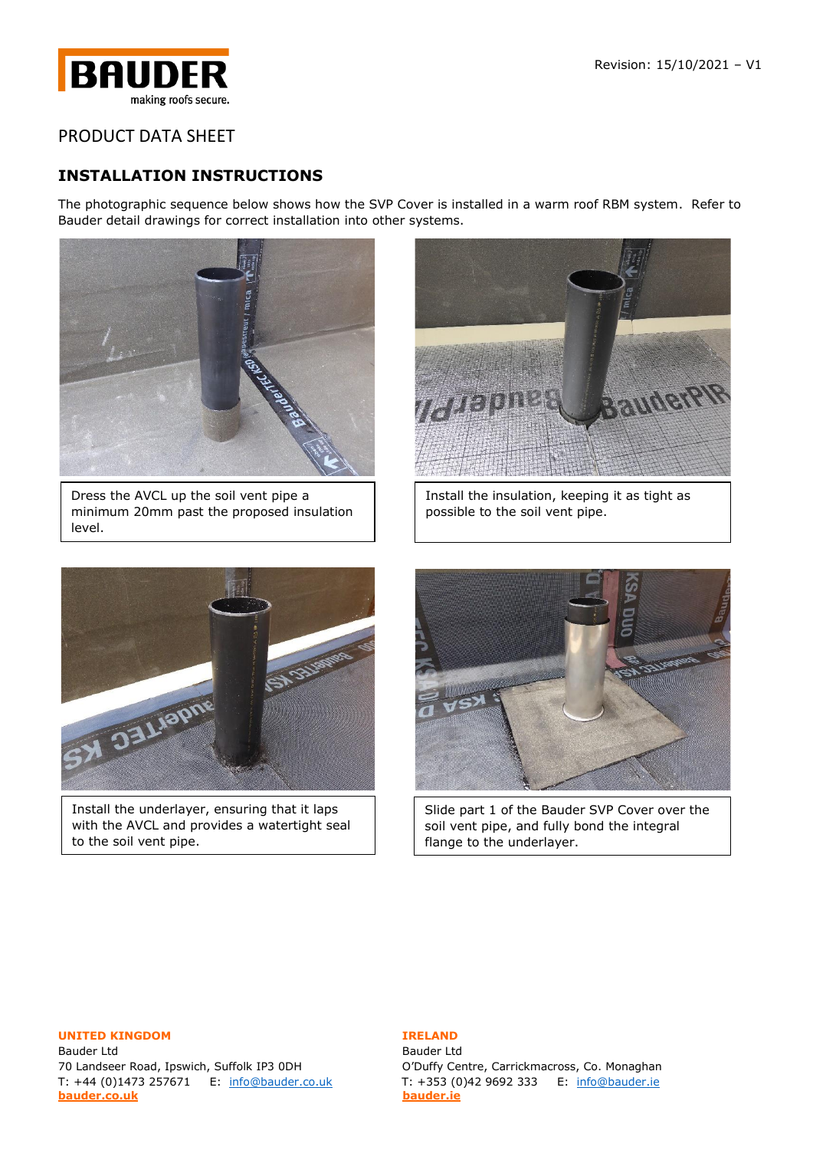

## **INSTALLATION INSTRUCTIONS**

The photographic sequence below shows how the SVP Cover is installed in a warm roof RBM system. Refer to Bauder detail drawings for correct installation into other systems.



Dress the AVCL up the soil vent pipe a minimum 20mm past the proposed insulation level.



Install the insulation, keeping it as tight as possible to the soil vent pipe.



Install the underlayer, ensuring that it laps with the AVCL and provides a watertight seal to the soil vent pipe.



Slide part 1 of the Bauder SVP Cover over the soil vent pipe, and fully bond the integral flange to the underlayer.

### **UNITED KINGDOM IRELAND**

Bauder Ltd Bauder Ltd 70 Landseer Road, Ipswich, Suffolk IP3 0DH Q'Duffy Centre, Carrickmacross, Co. Monaghan T: +44 (0)1473 257671 E: [info@bauder.co.uk](mailto:info@bauder.co.uk) T: +353 (0)42 9692 333 E: [info@bauder.ie](mailto:info@bauder.ie) **[bauder.co.uk](http://www.bauder.co.uk/) [bauder.ie](http://www.bauder.ie/)**